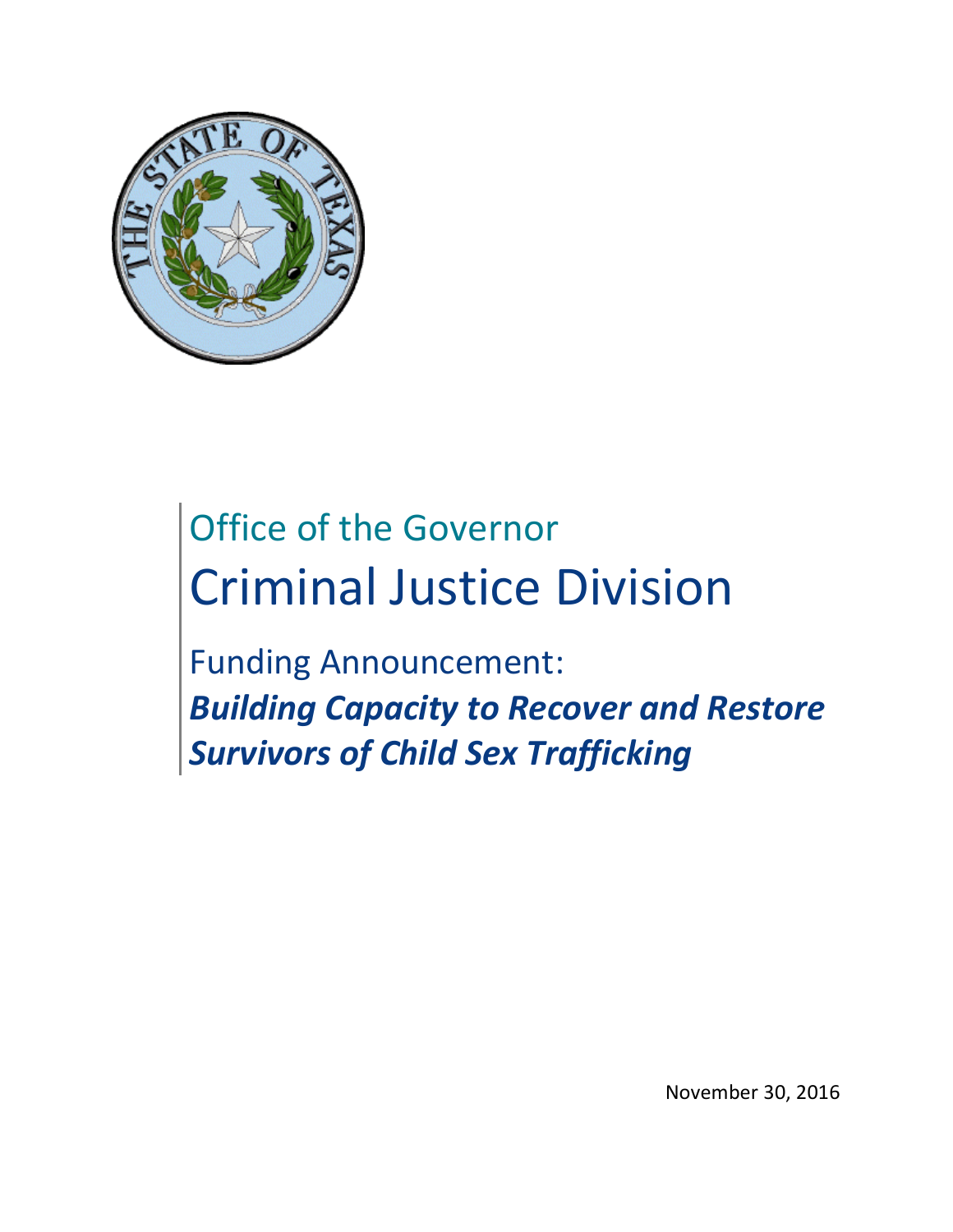

# Office of the Governor Criminal Justice Division

Funding Announcement: *Building Capacity to Recover and Restore Survivors of Child Sex Trafficking*

November 30, 2016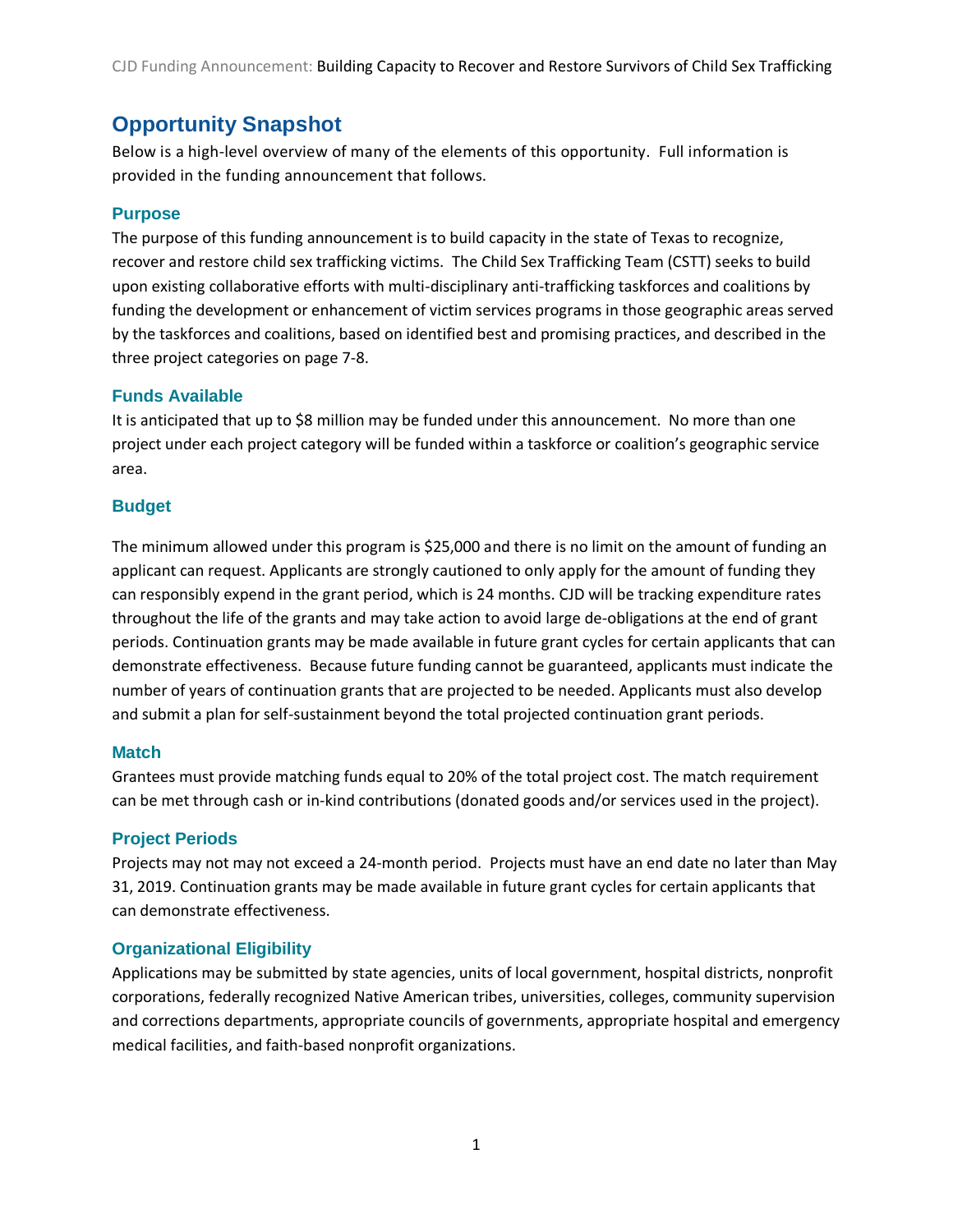CJD Funding Announcement: Building Capacity to Recover and Restore Survivors of Child Sex Trafficking

# <span id="page-1-0"></span>**Opportunity Snapshot**

Below is a high-level overview of many of the elements of this opportunity. Full information is provided in the funding announcement that follows.

#### **Purpose**

The purpose of this funding announcement is to build capacity in the state of Texas to recognize, recover and restore child sex trafficking victims. The Child Sex Trafficking Team (CSTT) seeks to build upon existing collaborative efforts with multi-disciplinary anti-trafficking taskforces and coalitions by funding the development or enhancement of victim services programs in those geographic areas served by the taskforces and coalitions, based on identified best and promising practices, and described in the three project categories on page 7-8.

#### **Funds Available**

It is anticipated that up to \$8 million may be funded under this announcement. No more than one project under each project category will be funded within a taskforce or coalition's geographic service area.

#### **Budget**

The minimum allowed under this program is \$25,000 and there is no limit on the amount of funding an applicant can request. Applicants are strongly cautioned to only apply for the amount of funding they can responsibly expend in the grant period, which is 24 months. CJD will be tracking expenditure rates throughout the life of the grants and may take action to avoid large de-obligations at the end of grant periods. Continuation grants may be made available in future grant cycles for certain applicants that can demonstrate effectiveness. Because future funding cannot be guaranteed, applicants must indicate the number of years of continuation grants that are projected to be needed. Applicants must also develop and submit a plan for self-sustainment beyond the total projected continuation grant periods.

#### **Match**

Grantees must provide matching funds equal to 20% of the total project cost. The match requirement can be met through cash or in-kind contributions (donated goods and/or services used in the project).

#### **Project Periods**

Projects may not may not exceed a 24-month period. Projects must have an end date no later than May 31, 2019. Continuation grants may be made available in future grant cycles for certain applicants that can demonstrate effectiveness.

#### **Organizational Eligibility**

Applications may be submitted by state agencies, units of local government, hospital districts, nonprofit corporations, federally recognized Native American tribes, universities, colleges, community supervision and corrections departments, appropriate councils of governments, appropriate hospital and emergency medical facilities, and faith-based nonprofit organizations.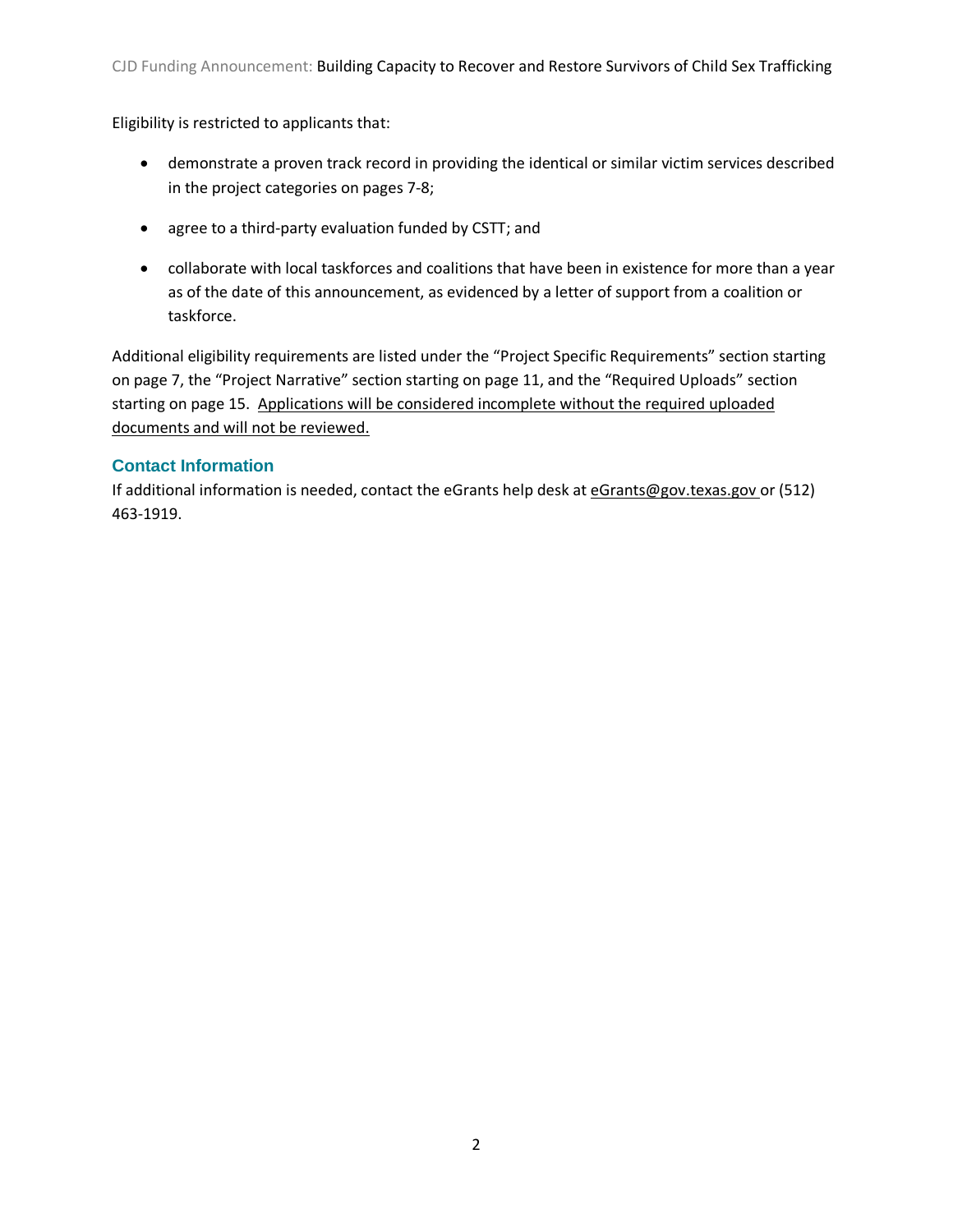Eligibility is restricted to applicants that:

- demonstrate a proven track record in providing the identical or similar victim services described in the project categories on pages 7-8;
- agree to a third-party evaluation funded by CSTT; and
- collaborate with local taskforces and coalitions that have been in existence for more than a year as of the date of this announcement, as evidenced by a letter of support from a coalition or taskforce.

Additional eligibility requirements are listed under the "Project Specific Requirements" section starting on page 7, the "Project Narrative" section starting on page 11, and the "Required Uploads" section starting on page 15. Applications will be considered incomplete without the required uploaded documents and will not be reviewed.

# **Contact Information**

If additional information is needed, contact the eGrants help desk at eGrants@gov.texas.gov or (512) 463-1919.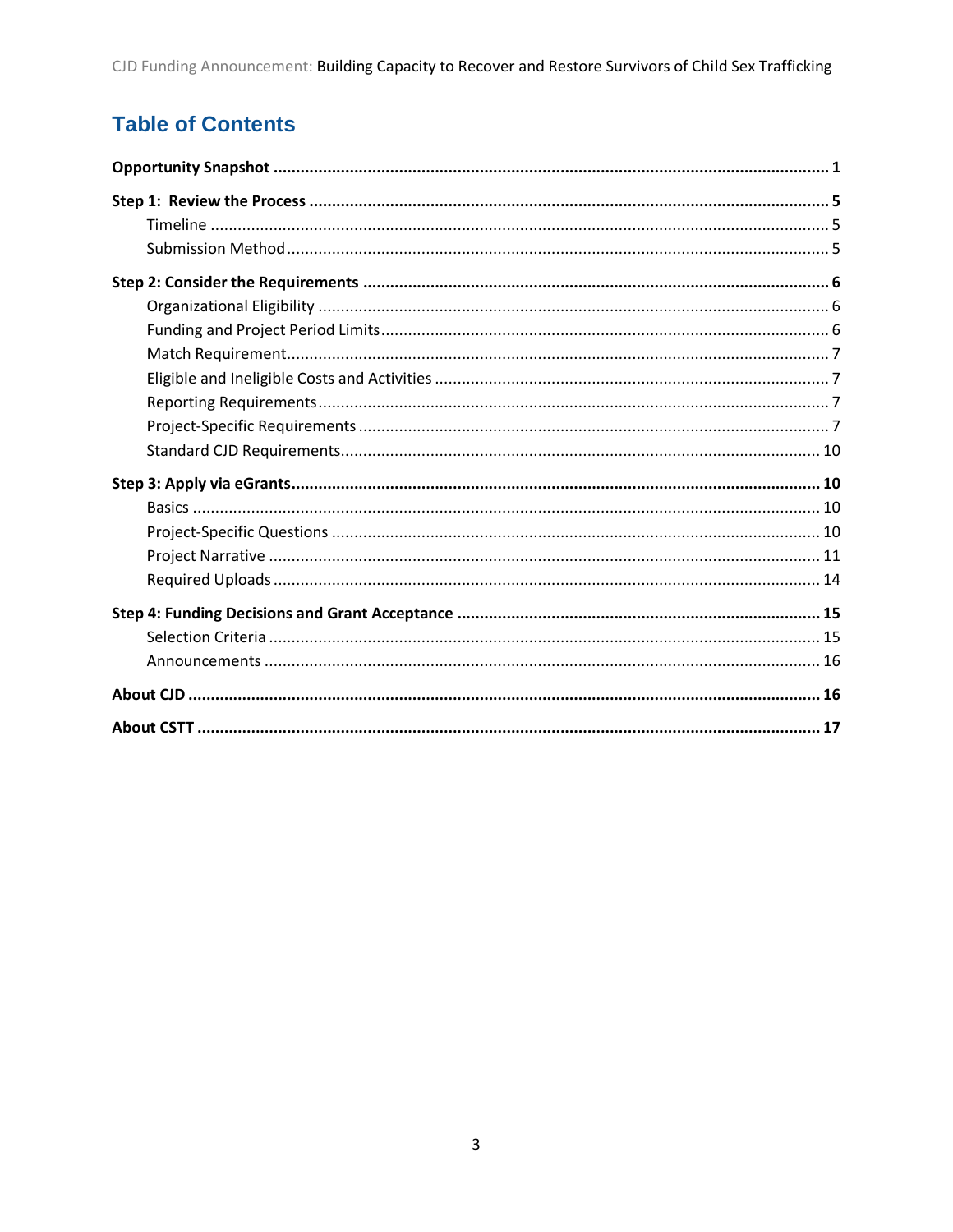# **Table of Contents**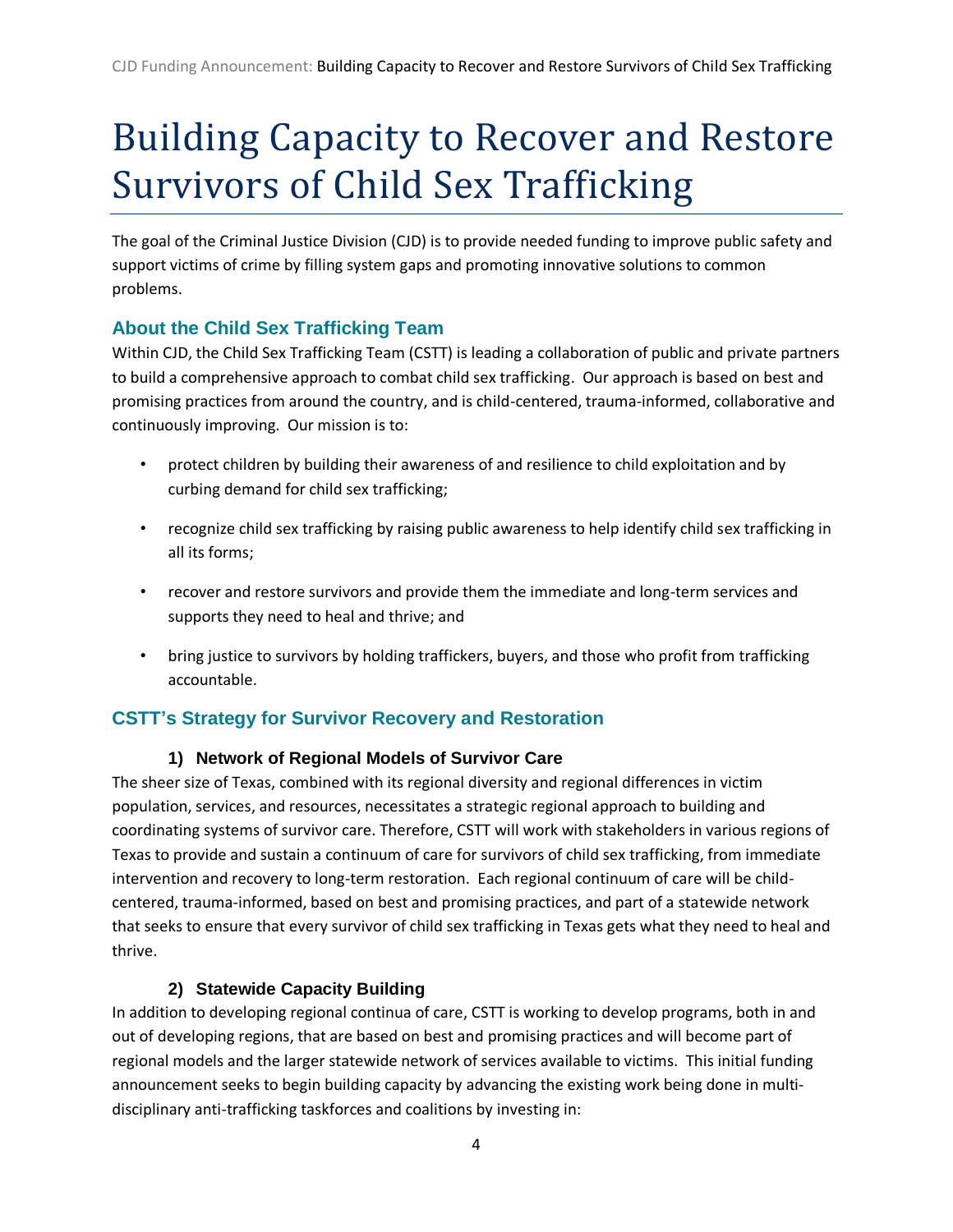# Building Capacity to Recover and Restore Survivors of Child Sex Trafficking

The goal of the Criminal Justice Division (CJD) is to provide needed funding to improve public safety and support victims of crime by filling system gaps and promoting innovative solutions to common problems.

# **About the Child Sex Trafficking Team**

Within CJD, the Child Sex Trafficking Team (CSTT) is leading a collaboration of public and private partners to build a comprehensive approach to combat child sex trafficking. Our approach is based on best and promising practices from around the country, and is child-centered, trauma-informed, collaborative and continuously improving. Our mission is to:

- protect children by building their awareness of and resilience to child exploitation and by curbing demand for child sex trafficking;
- recognize child sex trafficking by raising public awareness to help identify child sex trafficking in all its forms;
- recover and restore survivors and provide them the immediate and long-term services and supports they need to heal and thrive; and
- bring justice to survivors by holding traffickers, buyers, and those who profit from trafficking accountable.

# **CSTT's Strategy for Survivor Recovery and Restoration**

# **1) Network of Regional Models of Survivor Care**

The sheer size of Texas, combined with its regional diversity and regional differences in victim population, services, and resources, necessitates a strategic regional approach to building and coordinating systems of survivor care. Therefore, CSTT will work with stakeholders in various regions of Texas to provide and sustain a continuum of care for survivors of child sex trafficking, from immediate intervention and recovery to long-term restoration. Each regional continuum of care will be childcentered, trauma-informed, based on best and promising practices, and part of a statewide network that seeks to ensure that every survivor of child sex trafficking in Texas gets what they need to heal and thrive.

# **2) Statewide Capacity Building**

In addition to developing regional continua of care, CSTT is working to develop programs, both in and out of developing regions, that are based on best and promising practices and will become part of regional models and the larger statewide network of services available to victims. This initial funding announcement seeks to begin building capacity by advancing the existing work being done in multidisciplinary anti-trafficking taskforces and coalitions by investing in: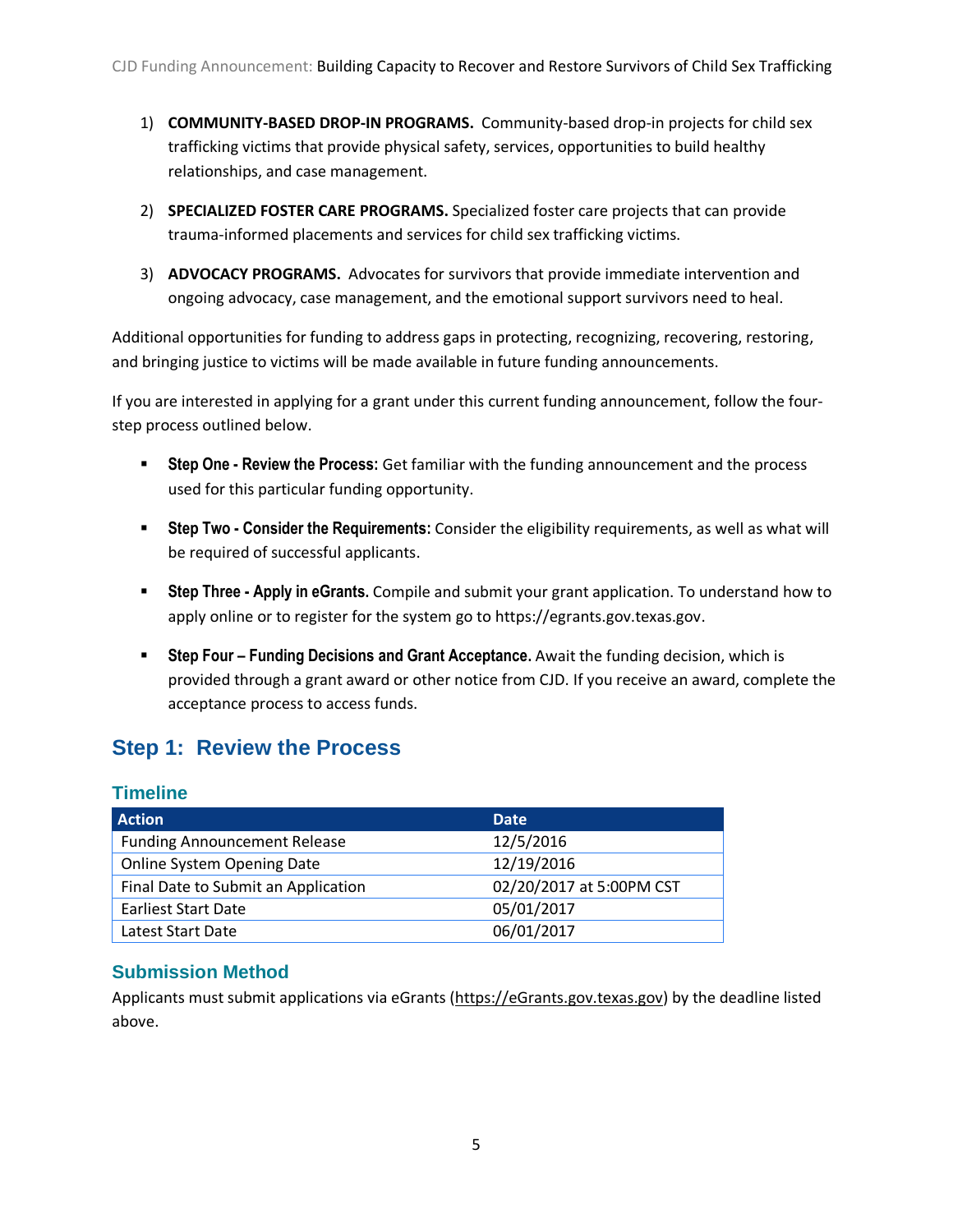- 1) **COMMUNITY-BASED DROP-IN PROGRAMS.** Community-based drop-in projects for child sex trafficking victims that provide physical safety, services, opportunities to build healthy relationships, and case management.
- 2) **SPECIALIZED FOSTER CARE PROGRAMS.** Specialized foster care projects that can provide trauma-informed placements and services for child sex trafficking victims.
- 3) **ADVOCACY PROGRAMS.** Advocates for survivors that provide immediate intervention and ongoing advocacy, case management, and the emotional support survivors need to heal.

Additional opportunities for funding to address gaps in protecting, recognizing, recovering, restoring, and bringing justice to victims will be made available in future funding announcements.

If you are interested in applying for a grant under this current funding announcement, follow the fourstep process outlined below.

- **Step One - Review the Process:** Get familiar with the funding announcement and the process used for this particular funding opportunity.
- **Step Two - Consider the Requirements:** Consider the eligibility requirements, as well as what will be required of successful applicants.
- **Step Three - Apply in eGrants.** Compile and submit your grant application. To understand how to apply online or to register for the system go to https://egrants.gov.texas.gov.
- **Figureh Four Funding Decisions and Grant Acceptance.** Await the funding decision, which is provided through a grant award or other notice from CJD. If you receive an award, complete the acceptance process to access funds.

# <span id="page-5-0"></span>**Step 1: Review the Process**

#### <span id="page-5-1"></span>**Timeline**

| <b>Action</b>                       | <b>Date</b>              |
|-------------------------------------|--------------------------|
| <b>Funding Announcement Release</b> | 12/5/2016                |
| <b>Online System Opening Date</b>   | 12/19/2016               |
| Final Date to Submit an Application | 02/20/2017 at 5:00PM CST |
| <b>Earliest Start Date</b>          | 05/01/2017               |
| Latest Start Date                   | 06/01/2017               |

# <span id="page-5-2"></span>**Submission Method**

Applicants must submit applications via eGrants [\(https://eGrants.gov.texas.gov\)](https://egrants.governor.state.tx.us/) by the deadline listed above.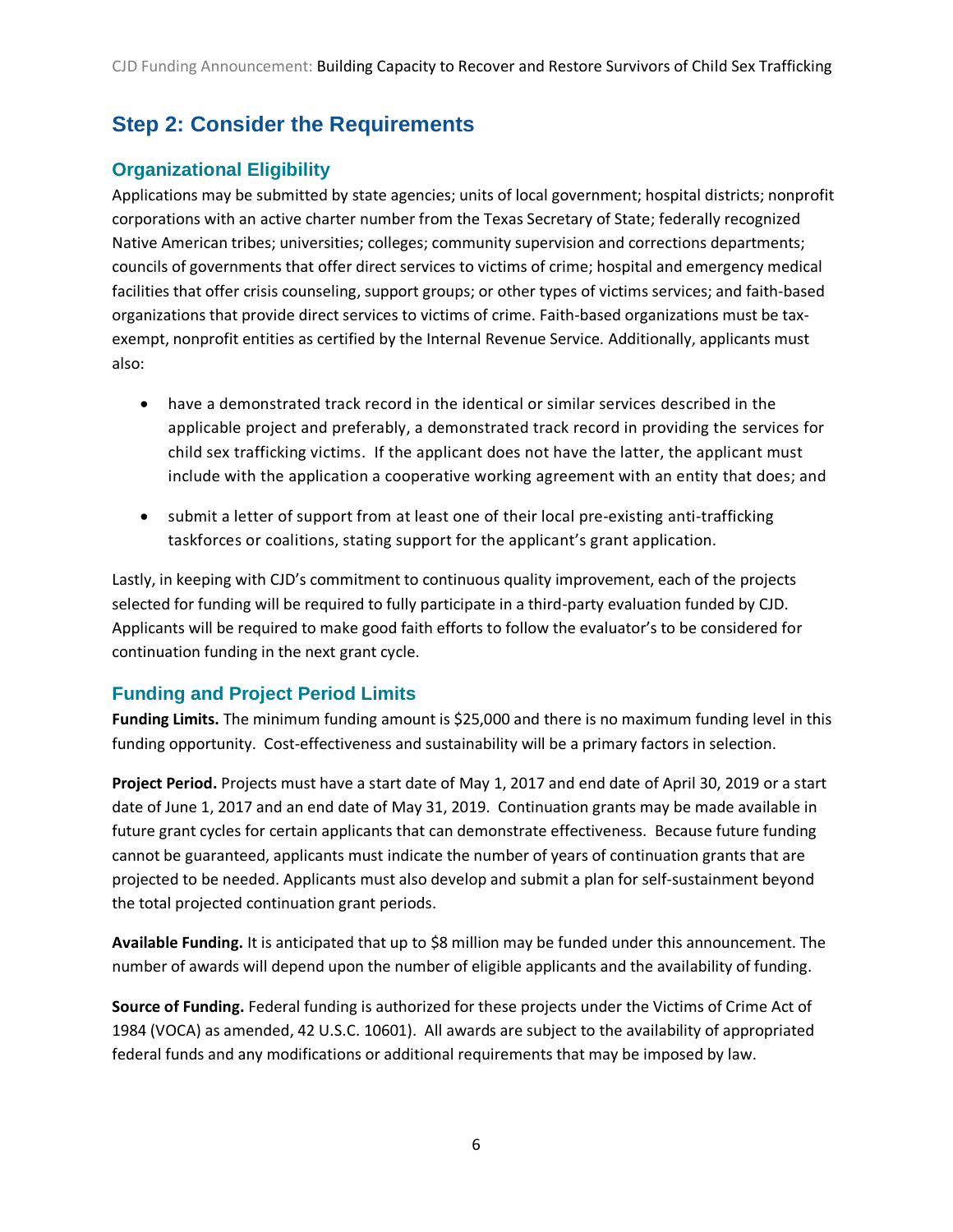# <span id="page-6-0"></span>**Step 2: Consider the Requirements**

# <span id="page-6-1"></span>**Organizational Eligibility**

Applications may be submitted by state agencies; units of local government; hospital districts; nonprofit corporations with an active charter number from the Texas Secretary of State; federally recognized Native American tribes; universities; colleges; community supervision and corrections departments; councils of governments that offer direct services to victims of crime; hospital and emergency medical facilities that offer crisis counseling, support groups; or other types of victims services; and faith-based organizations that provide direct services to victims of crime. Faith-based organizations must be taxexempt, nonprofit entities as certified by the Internal Revenue Service. Additionally, applicants must also:

- have a demonstrated track record in the identical or similar services described in the applicable project and preferably, a demonstrated track record in providing the services for child sex trafficking victims. If the applicant does not have the latter, the applicant must include with the application a cooperative working agreement with an entity that does; and
- submit a letter of support from at least one of their local pre-existing anti-trafficking taskforces or coalitions, stating support for the applicant's grant application.

Lastly, in keeping with CJD's commitment to continuous quality improvement, each of the projects selected for funding will be required to fully participate in a third-party evaluation funded by CJD. Applicants will be required to make good faith efforts to follow the evaluator's to be considered for continuation funding in the next grant cycle.

# <span id="page-6-2"></span>**Funding and Project Period Limits**

**Funding Limits.** The minimum funding amount is \$25,000 and there is no maximum funding level in this funding opportunity. Cost-effectiveness and sustainability will be a primary factors in selection.

**Project Period.** Projects must have a start date of May 1, 2017 and end date of April 30, 2019 or a start date of June 1, 2017 and an end date of May 31, 2019. Continuation grants may be made available in future grant cycles for certain applicants that can demonstrate effectiveness. Because future funding cannot be guaranteed, applicants must indicate the number of years of continuation grants that are projected to be needed. Applicants must also develop and submit a plan for self-sustainment beyond the total projected continuation grant periods.

**Available Funding.** It is anticipated that up to \$8 million may be funded under this announcement. The number of awards will depend upon the number of eligible applicants and the availability of funding.

**Source of Funding.** Federal funding is authorized for these projects under the Victims of Crime Act of 1984 (VOCA) as amended, 42 U.S.C. 10601). All awards are subject to the availability of appropriated federal funds and any modifications or additional requirements that may be imposed by law.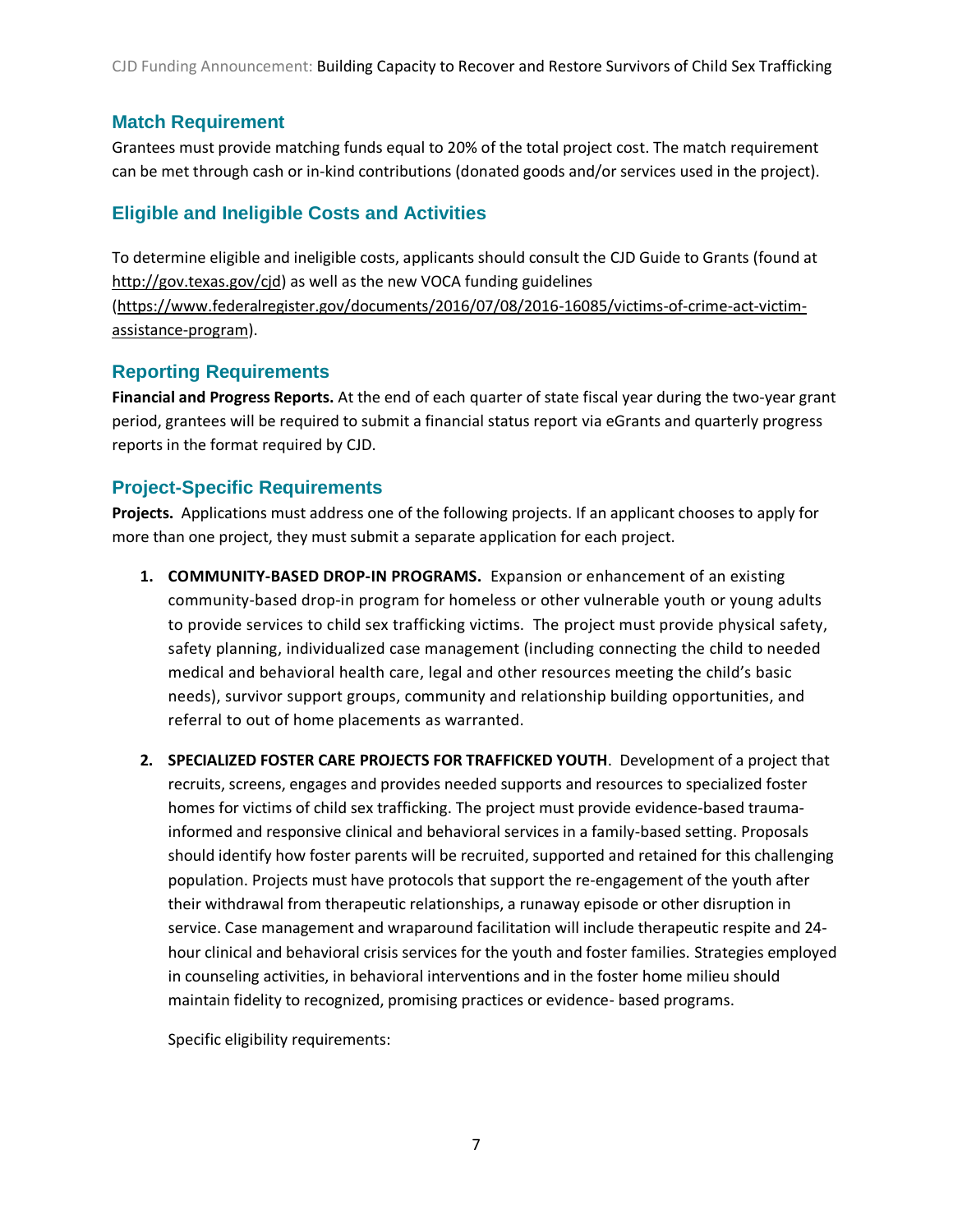CJD Funding Announcement: Building Capacity to Recover and Restore Survivors of Child Sex Trafficking

# <span id="page-7-0"></span>**Match Requirement**

Grantees must provide matching funds equal to 20% of the total project cost. The match requirement can be met through cash or in-kind contributions (donated goods and/or services used in the project).

# <span id="page-7-1"></span>**Eligible and Ineligible Costs and Activities**

To determine eligible and ineligible costs, applicants should consult the CJD Guide to Grants (found at [http://gov.texas.gov/cjd\)](http://gov.texas.gov/cjd) as well as the new VOCA funding guidelines [\(https://www.federalregister.gov/documents/2016/07/08/2016-16085/victims-of-crime-act-victim](https://www.federalregister.gov/documents/2016/07/08/2016-16085/victims-of-crime-act-victim-assistance-program)[assistance-program\)](https://www.federalregister.gov/documents/2016/07/08/2016-16085/victims-of-crime-act-victim-assistance-program).

# <span id="page-7-2"></span>**Reporting Requirements**

**Financial and Progress Reports.** At the end of each quarter of state fiscal year during the two-year grant period, grantees will be required to submit a financial status report via eGrants and quarterly progress reports in the format required by CJD.

# <span id="page-7-3"></span>**Project-Specific Requirements**

**Projects.** Applications must address one of the following projects. If an applicant chooses to apply for more than one project, they must submit a separate application for each project.

- **1. COMMUNITY-BASED DROP-IN PROGRAMS.** Expansion or enhancement of an existing community-based drop-in program for homeless or other vulnerable youth or young adults to provide services to child sex trafficking victims. The project must provide physical safety, safety planning, individualized case management (including connecting the child to needed medical and behavioral health care, legal and other resources meeting the child's basic needs), survivor support groups, community and relationship building opportunities, and referral to out of home placements as warranted.
- **2. SPECIALIZED FOSTER CARE PROJECTS FOR TRAFFICKED YOUTH**. Development of a project that recruits, screens, engages and provides needed supports and resources to specialized foster homes for victims of child sex trafficking. The project must provide evidence-based traumainformed and responsive clinical and behavioral services in a family-based setting. Proposals should identify how foster parents will be recruited, supported and retained for this challenging population. Projects must have protocols that support the re-engagement of the youth after their withdrawal from therapeutic relationships, a runaway episode or other disruption in service. Case management and wraparound facilitation will include therapeutic respite and 24 hour clinical and behavioral crisis services for the youth and foster families. Strategies employed in counseling activities, in behavioral interventions and in the foster home milieu should maintain fidelity to recognized, promising practices or evidence- based programs.

Specific eligibility requirements: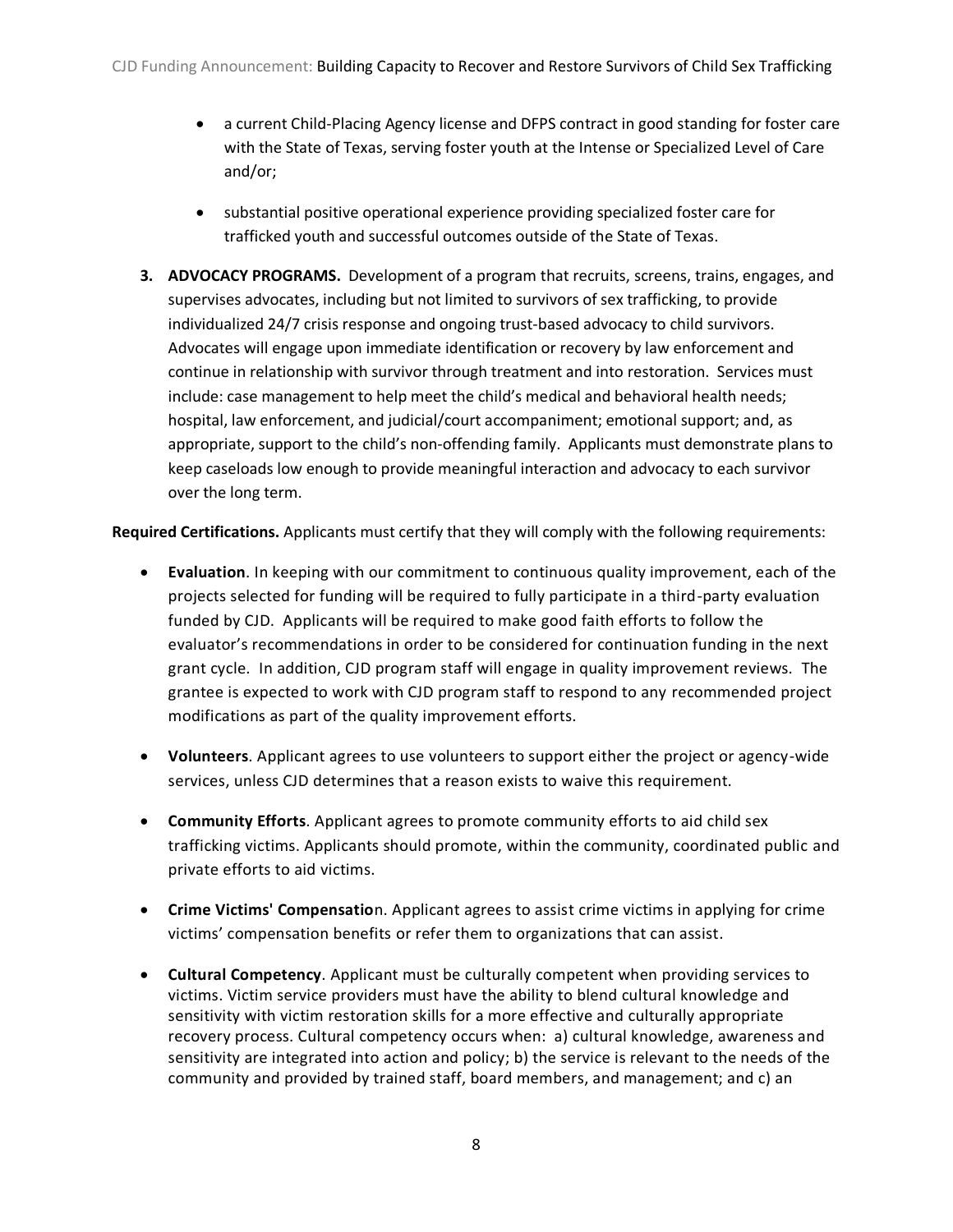- a current Child-Placing Agency license and DFPS contract in good standing for foster care with the State of Texas, serving foster youth at the Intense or Specialized Level of Care and/or;
- substantial positive operational experience providing specialized foster care for trafficked youth and successful outcomes outside of the State of Texas.
- **3. ADVOCACY PROGRAMS.** Development of a program that recruits, screens, trains, engages, and supervises advocates, including but not limited to survivors of sex trafficking, to provide individualized 24/7 crisis response and ongoing trust-based advocacy to child survivors. Advocates will engage upon immediate identification or recovery by law enforcement and continue in relationship with survivor through treatment and into restoration. Services must include: case management to help meet the child's medical and behavioral health needs; hospital, law enforcement, and judicial/court accompaniment; emotional support; and, as appropriate, support to the child's non-offending family. Applicants must demonstrate plans to keep caseloads low enough to provide meaningful interaction and advocacy to each survivor over the long term.

**Required Certifications.** Applicants must certify that they will comply with the following requirements:

- **Evaluation**. In keeping with our commitment to continuous quality improvement, each of the projects selected for funding will be required to fully participate in a third-party evaluation funded by CJD. Applicants will be required to make good faith efforts to follow the evaluator's recommendations in order to be considered for continuation funding in the next grant cycle. In addition, CJD program staff will engage in quality improvement reviews. The grantee is expected to work with CJD program staff to respond to any recommended project modifications as part of the quality improvement efforts.
- **Volunteers**. Applicant agrees to use volunteers to support either the project or agency-wide services, unless CJD determines that a reason exists to waive this requirement.
- **Community Efforts**. Applicant agrees to promote community efforts to aid child sex trafficking victims. Applicants should promote, within the community, coordinated public and private efforts to aid victims.
- **Crime Victims' Compensatio**n. Applicant agrees to assist crime victims in applying for crime victims' compensation benefits or refer them to organizations that can assist.
- **Cultural Competency**. Applicant must be culturally competent when providing services to victims. Victim service providers must have the ability to blend cultural knowledge and sensitivity with victim restoration skills for a more effective and culturally appropriate recovery process. Cultural competency occurs when: a) cultural knowledge, awareness and sensitivity are integrated into action and policy; b) the service is relevant to the needs of the community and provided by trained staff, board members, and management; and c) an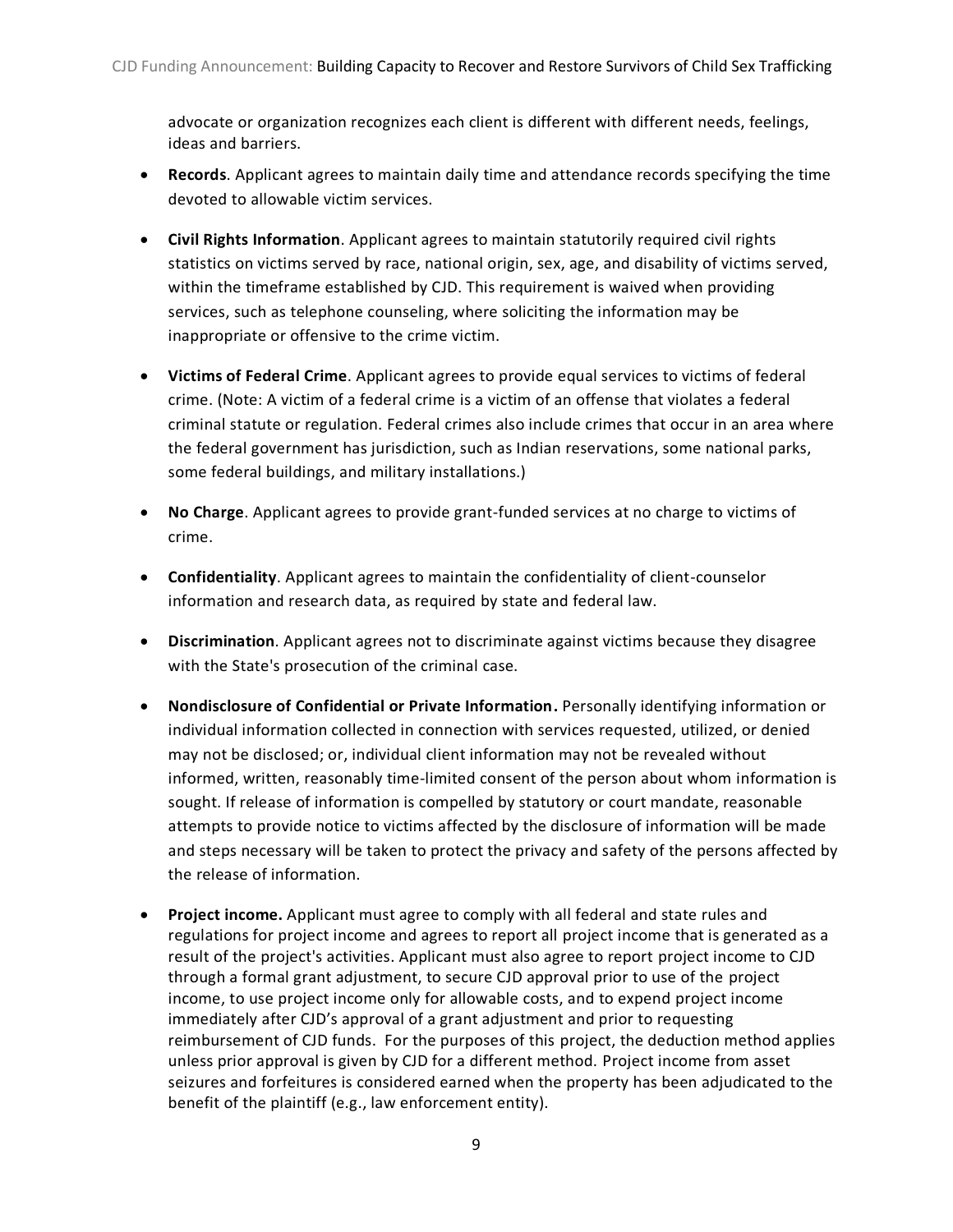advocate or organization recognizes each client is different with different needs, feelings, ideas and barriers.

- **Records**. Applicant agrees to maintain daily time and attendance records specifying the time devoted to allowable victim services.
- **Civil Rights Information**. Applicant agrees to maintain statutorily required civil rights statistics on victims served by race, national origin, sex, age, and disability of victims served, within the timeframe established by CJD. This requirement is waived when providing services, such as telephone counseling, where soliciting the information may be inappropriate or offensive to the crime victim.
- **Victims of Federal Crime**. Applicant agrees to provide equal services to victims of federal crime. (Note: A victim of a federal crime is a victim of an offense that violates a federal criminal statute or regulation. Federal crimes also include crimes that occur in an area where the federal government has jurisdiction, such as Indian reservations, some national parks, some federal buildings, and military installations.)
- **No Charge**. Applicant agrees to provide grant-funded services at no charge to victims of crime.
- **Confidentiality**. Applicant agrees to maintain the confidentiality of client-counselor information and research data, as required by state and federal law.
- **Discrimination**. Applicant agrees not to discriminate against victims because they disagree with the State's prosecution of the criminal case.
- **Nondisclosure of Confidential or Private Information.** Personally identifying information or individual information collected in connection with services requested, utilized, or denied may not be disclosed; or, individual client information may not be revealed without informed, written, reasonably time-limited consent of the person about whom information is sought. If release of information is compelled by statutory or court mandate, reasonable attempts to provide notice to victims affected by the disclosure of information will be made and steps necessary will be taken to protect the privacy and safety of the persons affected by the release of information.
- **Project income.** Applicant must agree to comply with all federal and state rules and regulations for project income and agrees to report all project income that is generated as a result of the project's activities. Applicant must also agree to report project income to CJD through a formal grant adjustment, to secure CJD approval prior to use of the project income, to use project income only for allowable costs, and to expend project income immediately after CJD's approval of a grant adjustment and prior to requesting reimbursement of CJD funds. For the purposes of this project, the deduction method applies unless prior approval is given by CJD for a different method. Project income from asset seizures and forfeitures is considered earned when the property has been adjudicated to the benefit of the plaintiff (e.g., law enforcement entity).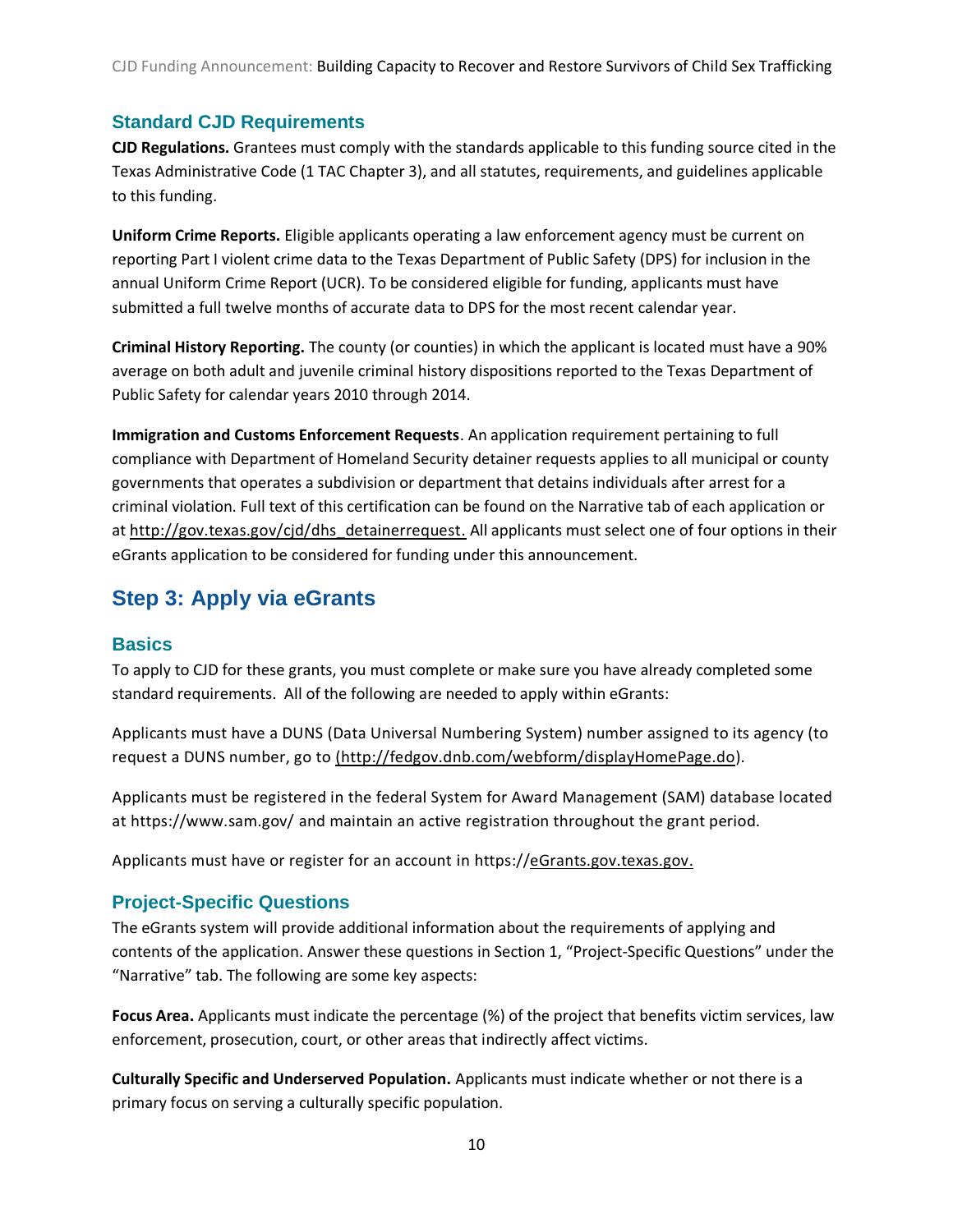CJD Funding Announcement: Building Capacity to Recover and Restore Survivors of Child Sex Trafficking

# <span id="page-10-0"></span>**Standard CJD Requirements**

**CJD Regulations.** Grantees must comply with the standards applicable to this funding source cited in the Texas Administrative Code (1 TAC Chapter 3), and all statutes, requirements, and guidelines applicable to this funding.

**Uniform Crime Reports.** Eligible applicants operating a law enforcement agency must be current on reporting Part I violent crime data to the Texas Department of Public Safety (DPS) for inclusion in the annual Uniform Crime Report (UCR). To be considered eligible for funding, applicants must have submitted a full twelve months of accurate data to DPS for the most recent calendar year.

**Criminal History Reporting.** The county (or counties) in which the applicant is located must have a 90% average on both adult and juvenile criminal history dispositions reported to the Texas Department of Public Safety for calendar years 2010 through 2014.

**Immigration and Customs Enforcement Requests**. An application requirement pertaining to full compliance with Department of Homeland Security detainer requests applies to all municipal or county governments that operates a subdivision or department that detains individuals after arrest for a criminal violation. Full text of this certification can be found on the Narrative tab of each application or at [http://gov.texas.gov/cjd/dhs\\_detainerrequest.](http://gov.texas.gov/cjd/dhs_detainerrequest) All applicants must select one of four options in their eGrants application to be considered for funding under this announcement.

# <span id="page-10-1"></span>**Step 3: Apply via eGrants**

#### <span id="page-10-2"></span>**Basics**

To apply to CJD for these grants, you must complete or make sure you have already completed some standard requirements. All of the following are needed to apply within eGrants:

Applicants must have a DUNS (Data Universal Numbering System) number assigned to its agency (to request a DUNS number, go to [\(http://fedgov.dnb.com/webform/displayHomePage.do\)](http://fedgov.dnb.com/webform/displayHomePage.do).

Applicants must be registered in the federal System for Award Management (SAM) database located at<https://www.sam.gov/> and maintain an active registration throughout the grant period.

Applicants must have or register for an account in https:/[/eGrants.gov.texas.gov.](https://egrants.gov.texas.gov/)

# <span id="page-10-3"></span>**Project-Specific Questions**

The eGrants system will provide additional information about the requirements of applying and contents of the application. Answer these questions in Section 1, "Project-Specific Questions" under the "Narrative" tab. The following are some key aspects:

**Focus Area.** Applicants must indicate the percentage (%) of the project that benefits victim services, law enforcement, prosecution, court, or other areas that indirectly affect victims.

**Culturally Specific and Underserved Population.** Applicants must indicate whether or not there is a primary focus on serving a culturally specific population.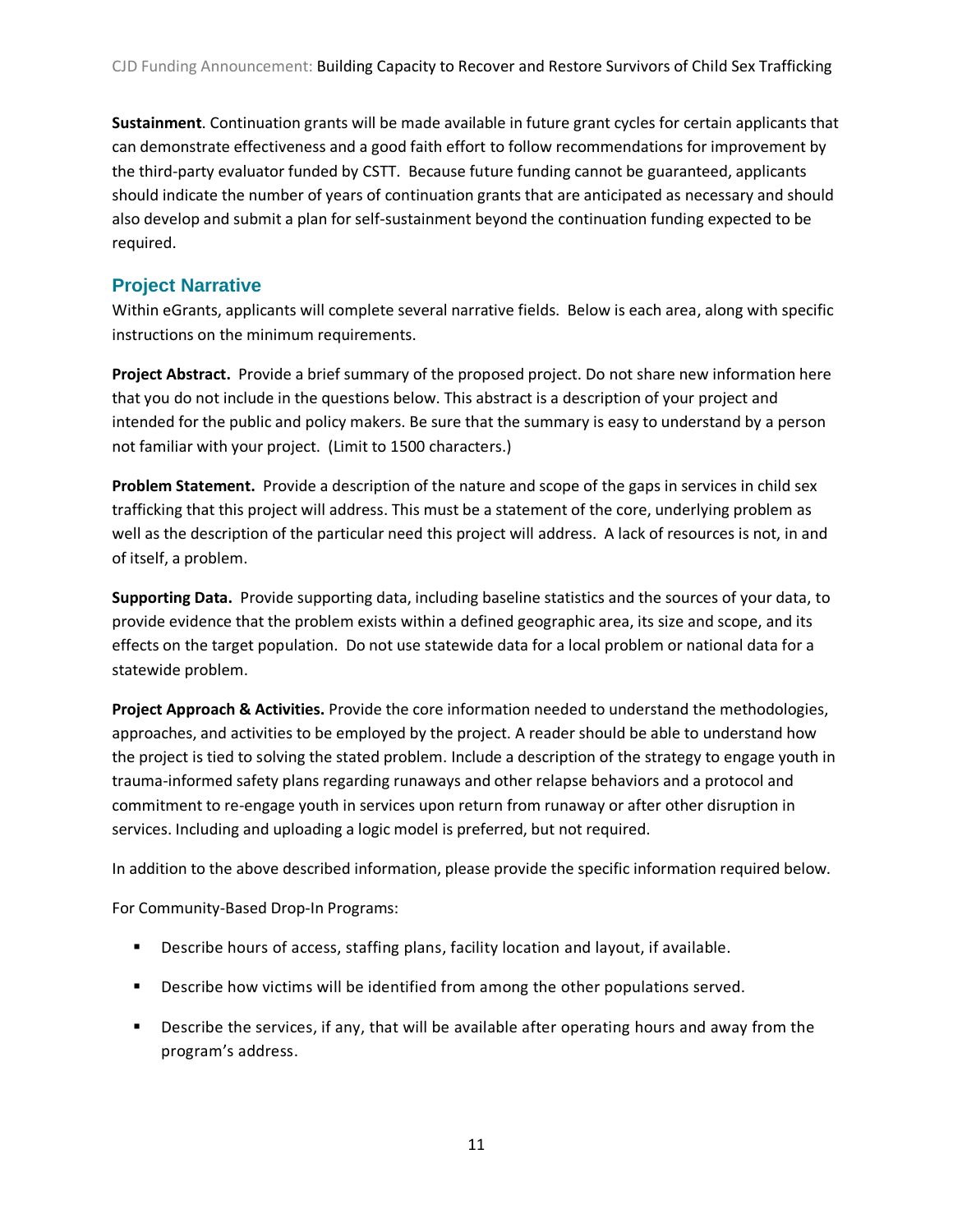**Sustainment**. Continuation grants will be made available in future grant cycles for certain applicants that can demonstrate effectiveness and a good faith effort to follow recommendations for improvement by the third-party evaluator funded by CSTT. Because future funding cannot be guaranteed, applicants should indicate the number of years of continuation grants that are anticipated as necessary and should also develop and submit a plan for self-sustainment beyond the continuation funding expected to be required.

#### <span id="page-11-0"></span>**Project Narrative**

Within eGrants, applicants will complete several narrative fields. Below is each area, along with specific instructions on the minimum requirements.

**Project Abstract.** Provide a brief summary of the proposed project. Do not share new information here that you do not include in the questions below. This abstract is a description of your project and intended for the public and policy makers. Be sure that the summary is easy to understand by a person not familiar with your project. (Limit to 1500 characters.)

**Problem Statement.** Provide a description of the nature and scope of the gaps in services in child sex trafficking that this project will address. This must be a statement of the core, underlying problem as well as the description of the particular need this project will address. A lack of resources is not, in and of itself, a problem.

**Supporting Data.** Provide supporting data, including baseline statistics and the sources of your data, to provide evidence that the problem exists within a defined geographic area, its size and scope, and its effects on the target population. Do not use statewide data for a local problem or national data for a statewide problem.

**Project Approach & Activities.** Provide the core information needed to understand the methodologies, approaches, and activities to be employed by the project. A reader should be able to understand how the project is tied to solving the stated problem. Include a description of the strategy to engage youth in trauma-informed safety plans regarding runaways and other relapse behaviors and a protocol and commitment to re-engage youth in services upon return from runaway or after other disruption in services. Including and uploading a logic model is preferred, but not required.

In addition to the above described information, please provide the specific information required below.

For Community-Based Drop-In Programs:

- **Describe hours of access, staffing plans, facility location and layout, if available.**
- **Describe how victims will be identified from among the other populations served.**
- **Describe the services, if any, that will be available after operating hours and away from the** program's address.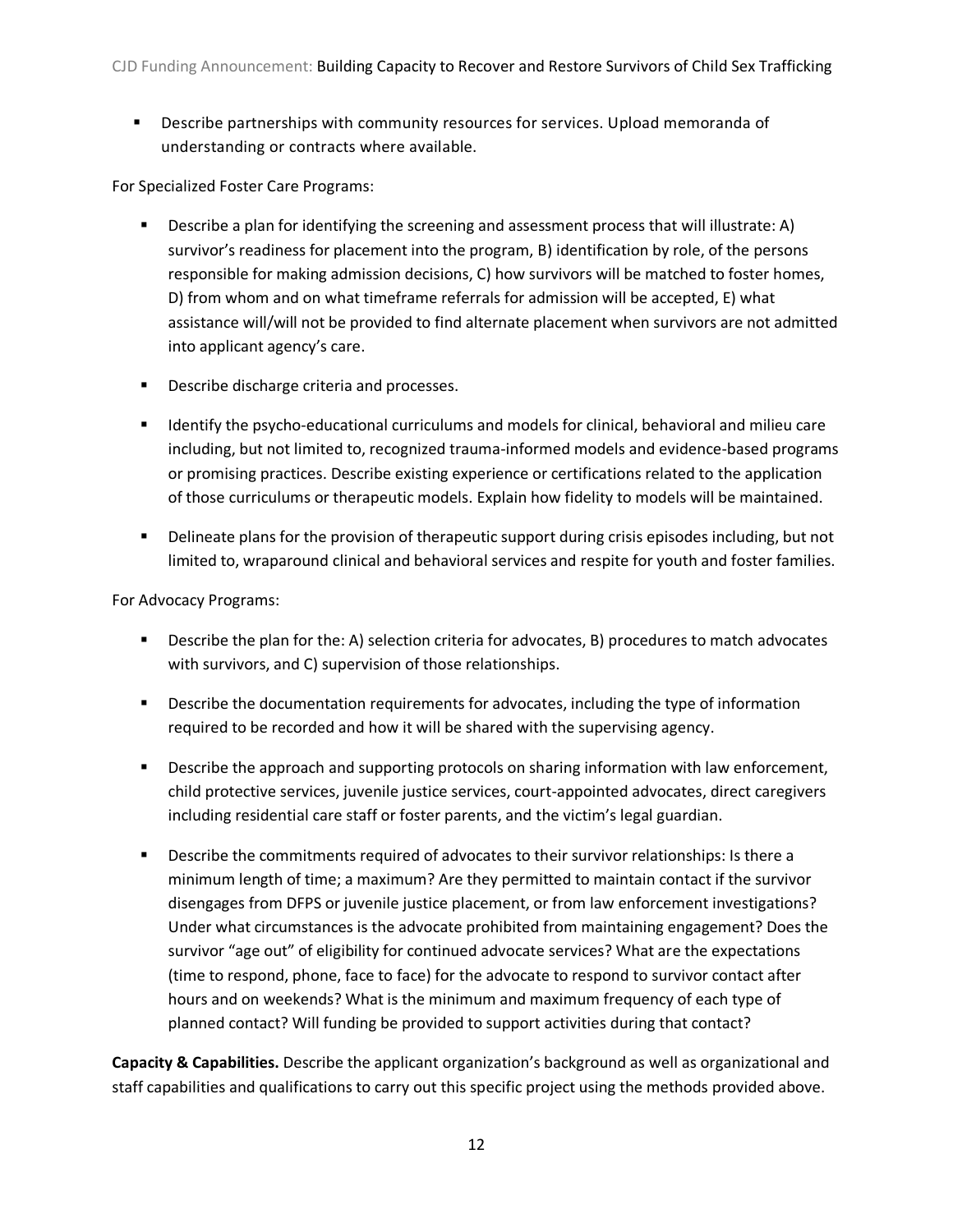Describe partnerships with community resources for services. Upload memoranda of understanding or contracts where available.

For Specialized Foster Care Programs:

- Describe a plan for identifying the screening and assessment process that will illustrate: A) survivor's readiness for placement into the program, B) identification by role, of the persons responsible for making admission decisions, C) how survivors will be matched to foster homes, D) from whom and on what timeframe referrals for admission will be accepted, E) what assistance will/will not be provided to find alternate placement when survivors are not admitted into applicant agency's care.
- **Describe discharge criteria and processes.**
- **IDENTIFY 19 IDENTIFY THE PSYCHO-EDUCATIONAL CULTER** and models for clinical, behavioral and milieu care including, but not limited to, recognized trauma-informed models and evidence-based programs or promising practices. Describe existing experience or certifications related to the application of those curriculums or therapeutic models. Explain how fidelity to models will be maintained.
- **Property Delineate plans for the provision of therapeutic support during crisis episodes including, but not** limited to, wraparound clinical and behavioral services and respite for youth and foster families.

For Advocacy Programs:

- Describe the plan for the: A) selection criteria for advocates, B) procedures to match advocates with survivors, and C) supervision of those relationships.
- **•** Describe the documentation requirements for advocates, including the type of information required to be recorded and how it will be shared with the supervising agency.
- **Describe the approach and supporting protocols on sharing information with law enforcement,** child protective services, juvenile justice services, court-appointed advocates, direct caregivers including residential care staff or foster parents, and the victim's legal guardian.
- **Describe the commitments required of advocates to their survivor relationships: Is there a** minimum length of time; a maximum? Are they permitted to maintain contact if the survivor disengages from DFPS or juvenile justice placement, or from law enforcement investigations? Under what circumstances is the advocate prohibited from maintaining engagement? Does the survivor "age out" of eligibility for continued advocate services? What are the expectations (time to respond, phone, face to face) for the advocate to respond to survivor contact after hours and on weekends? What is the minimum and maximum frequency of each type of planned contact? Will funding be provided to support activities during that contact?

**Capacity & Capabilities.** Describe the applicant organization's background as well as organizational and staff capabilities and qualifications to carry out this specific project using the methods provided above.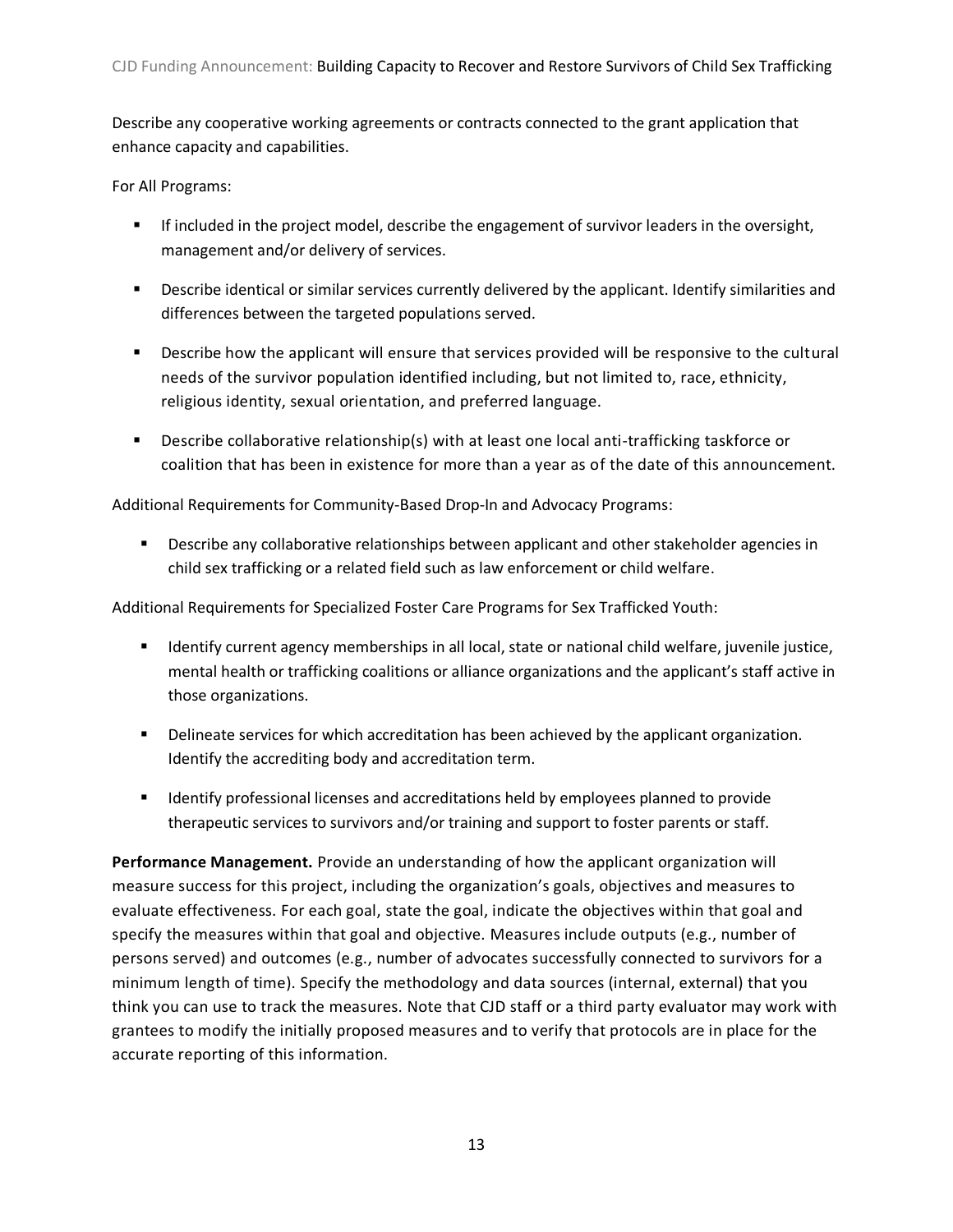Describe any cooperative working agreements or contracts connected to the grant application that enhance capacity and capabilities.

For All Programs:

- If included in the project model, describe the engagement of survivor leaders in the oversight, management and/or delivery of services.
- Describe identical or similar services currently delivered by the applicant. Identify similarities and differences between the targeted populations served.
- Describe how the applicant will ensure that services provided will be responsive to the cultural needs of the survivor population identified including, but not limited to, race, ethnicity, religious identity, sexual orientation, and preferred language.
- Describe collaborative relationship(s) with at least one local anti-trafficking taskforce or coalition that has been in existence for more than a year as of the date of this announcement.

Additional Requirements for Community-Based Drop-In and Advocacy Programs:

**Describe any collaborative relationships between applicant and other stakeholder agencies in** child sex trafficking or a related field such as law enforcement or child welfare.

Additional Requirements for Specialized Foster Care Programs for Sex Trafficked Youth:

- **If all identify current agency memberships in all local, state or national child welfare, juvenile justice,** mental health or trafficking coalitions or alliance organizations and the applicant's staff active in those organizations.
- **Delineate services for which accreditation has been achieved by the applicant organization.** Identify the accrediting body and accreditation term.
- **If all identify professional licenses and accreditations held by employees planned to provide** therapeutic services to survivors and/or training and support to foster parents or staff.

**Performance Management.** Provide an understanding of how the applicant organization will measure success for this project, including the organization's goals, objectives and measures to evaluate effectiveness. For each goal, state the goal, indicate the objectives within that goal and specify the measures within that goal and objective. Measures include outputs (e.g., number of persons served) and outcomes (e.g., number of advocates successfully connected to survivors for a minimum length of time). Specify the methodology and data sources (internal, external) that you think you can use to track the measures. Note that CJD staff or a third party evaluator may work with grantees to modify the initially proposed measures and to verify that protocols are in place for the accurate reporting of this information.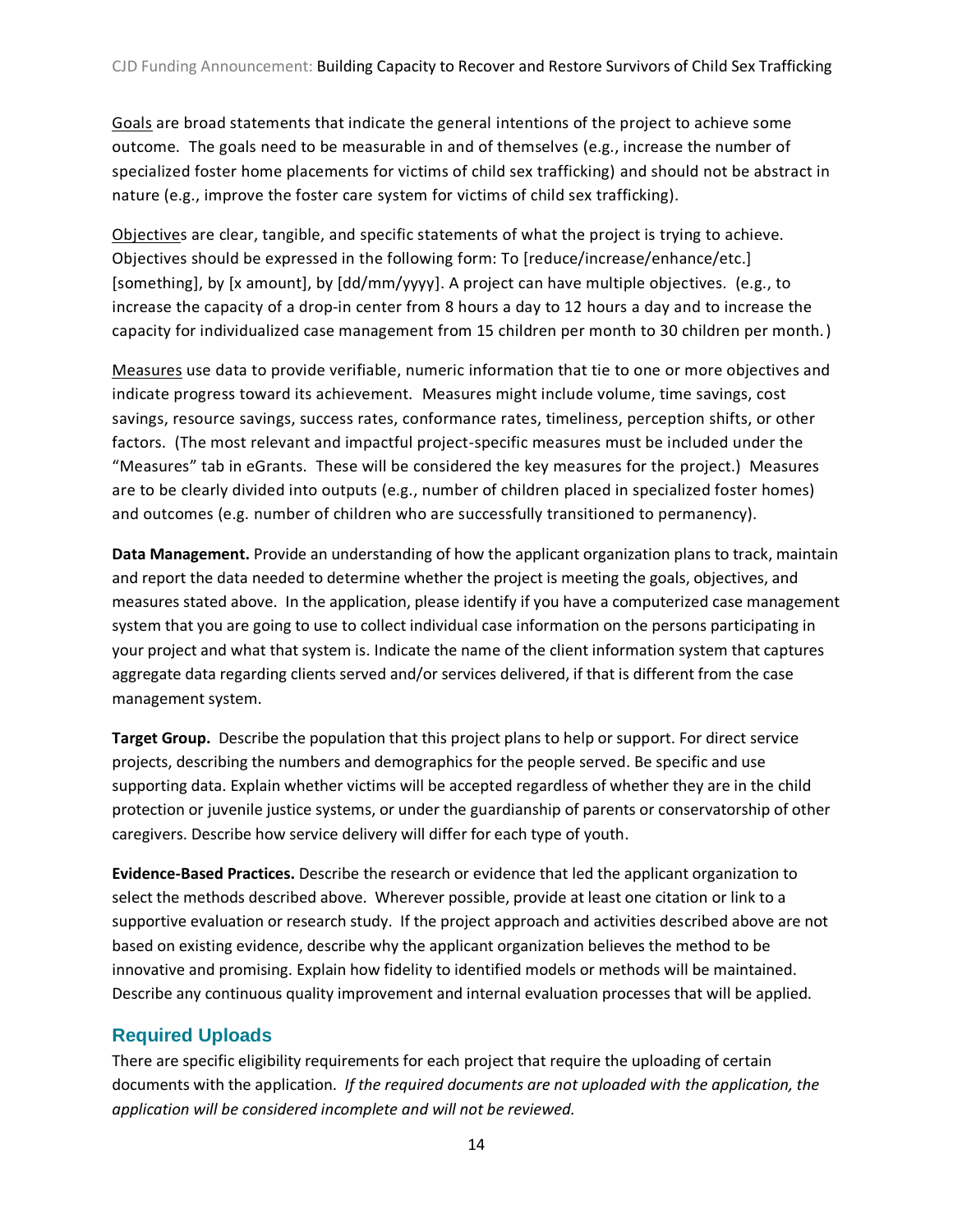Goals are broad statements that indicate the general intentions of the project to achieve some outcome. The goals need to be measurable in and of themselves (e.g., increase the number of specialized foster home placements for victims of child sex trafficking) and should not be abstract in nature (e.g., improve the foster care system for victims of child sex trafficking).

Objectives are clear, tangible, and specific statements of what the project is trying to achieve. Objectives should be expressed in the following form: To [reduce/increase/enhance/etc.] [something], by [x amount], by [dd/mm/yyyy]. A project can have multiple objectives. (e.g., to increase the capacity of a drop-in center from 8 hours a day to 12 hours a day and to increase the capacity for individualized case management from 15 children per month to 30 children per month.)

Measures use data to provide verifiable, numeric information that tie to one or more objectives and indicate progress toward its achievement. Measures might include volume, time savings, cost savings, resource savings, success rates, conformance rates, timeliness, perception shifts, or other factors. (The most relevant and impactful project-specific measures must be included under the "Measures" tab in eGrants. These will be considered the key measures for the project.) Measures are to be clearly divided into outputs (e.g., number of children placed in specialized foster homes) and outcomes (e.g. number of children who are successfully transitioned to permanency).

**Data Management.** Provide an understanding of how the applicant organization plans to track, maintain and report the data needed to determine whether the project is meeting the goals, objectives, and measures stated above. In the application, please identify if you have a computerized case management system that you are going to use to collect individual case information on the persons participating in your project and what that system is. Indicate the name of the client information system that captures aggregate data regarding clients served and/or services delivered, if that is different from the case management system.

**Target Group.** Describe the population that this project plans to help or support. For direct service projects, describing the numbers and demographics for the people served. Be specific and use supporting data. Explain whether victims will be accepted regardless of whether they are in the child protection or juvenile justice systems, or under the guardianship of parents or conservatorship of other caregivers. Describe how service delivery will differ for each type of youth.

**Evidence-Based Practices.** Describe the research or evidence that led the applicant organization to select the methods described above. Wherever possible, provide at least one citation or link to a supportive evaluation or research study. If the project approach and activities described above are not based on existing evidence, describe why the applicant organization believes the method to be innovative and promising. Explain how fidelity to identified models or methods will be maintained. Describe any continuous quality improvement and internal evaluation processes that will be applied.

# <span id="page-14-0"></span>**Required Uploads**

There are specific eligibility requirements for each project that require the uploading of certain documents with the application. *If the required documents are not uploaded with the application, the application will be considered incomplete and will not be reviewed.*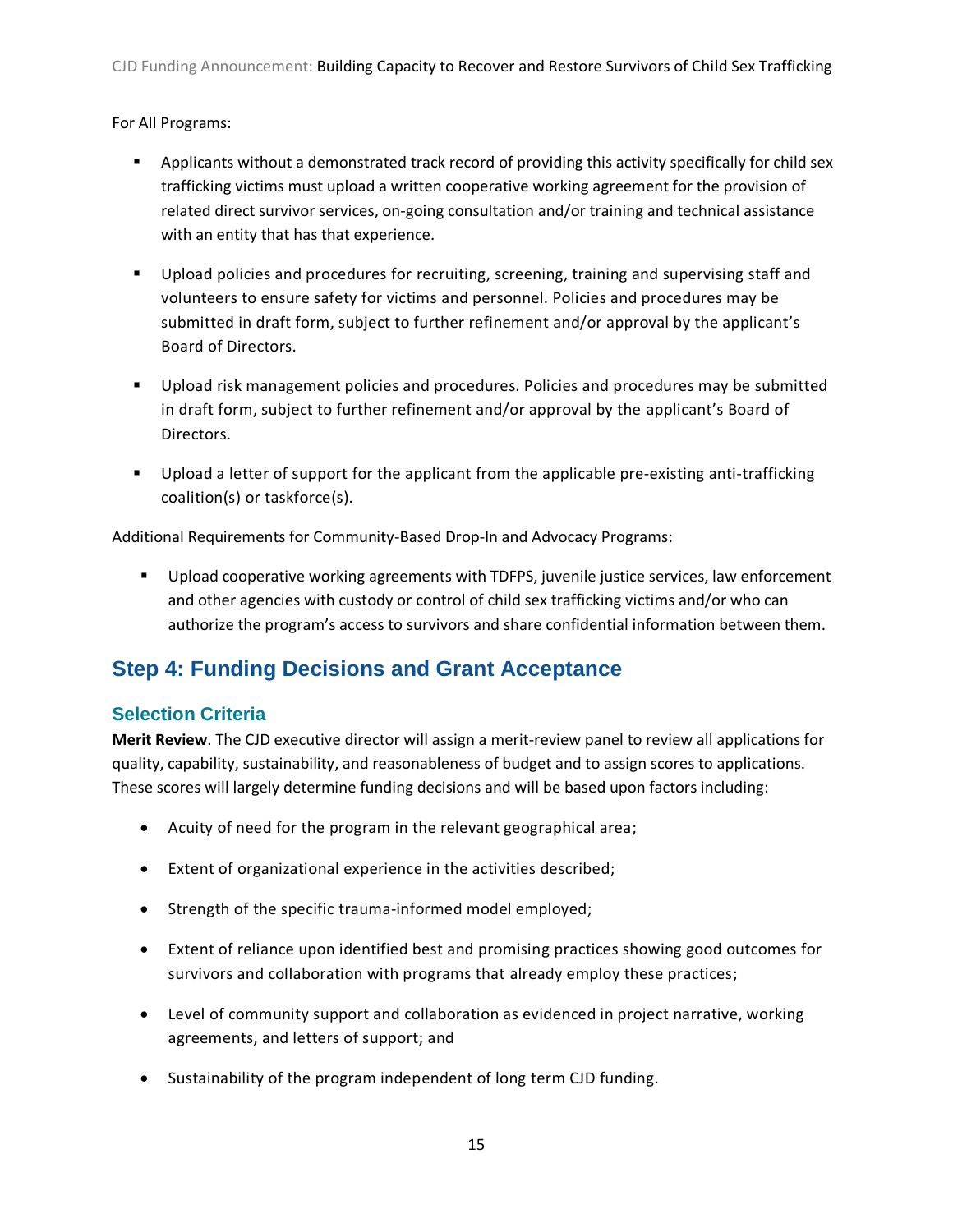For All Programs:

- Applicants without a demonstrated track record of providing this activity specifically for child sex trafficking victims must upload a written cooperative working agreement for the provision of related direct survivor services, on-going consultation and/or training and technical assistance with an entity that has that experience.
- Upload policies and procedures for recruiting, screening, training and supervising staff and volunteers to ensure safety for victims and personnel. Policies and procedures may be submitted in draft form, subject to further refinement and/or approval by the applicant's Board of Directors.
- Upload risk management policies and procedures. Policies and procedures may be submitted in draft form, subject to further refinement and/or approval by the applicant's Board of Directors.
- Upload a letter of support for the applicant from the applicable pre-existing anti-trafficking coalition(s) or taskforce(s).

Additional Requirements for Community-Based Drop-In and Advocacy Programs:

**Upload cooperative working agreements with TDFPS, juvenile justice services, law enforcement** and other agencies with custody or control of child sex trafficking victims and/or who can authorize the program's access to survivors and share confidential information between them.

# <span id="page-15-0"></span>**Step 4: Funding Decisions and Grant Acceptance**

# <span id="page-15-1"></span>**Selection Criteria**

**Merit Review**. The CJD executive director will assign a merit-review panel to review all applications for quality, capability, sustainability, and reasonableness of budget and to assign scores to applications. These scores will largely determine funding decisions and will be based upon factors including:

- Acuity of need for the program in the relevant geographical area;
- Extent of organizational experience in the activities described;
- Strength of the specific trauma-informed model employed;
- Extent of reliance upon identified best and promising practices showing good outcomes for survivors and collaboration with programs that already employ these practices;
- Level of community support and collaboration as evidenced in project narrative, working agreements, and letters of support; and
- Sustainability of the program independent of long term CJD funding.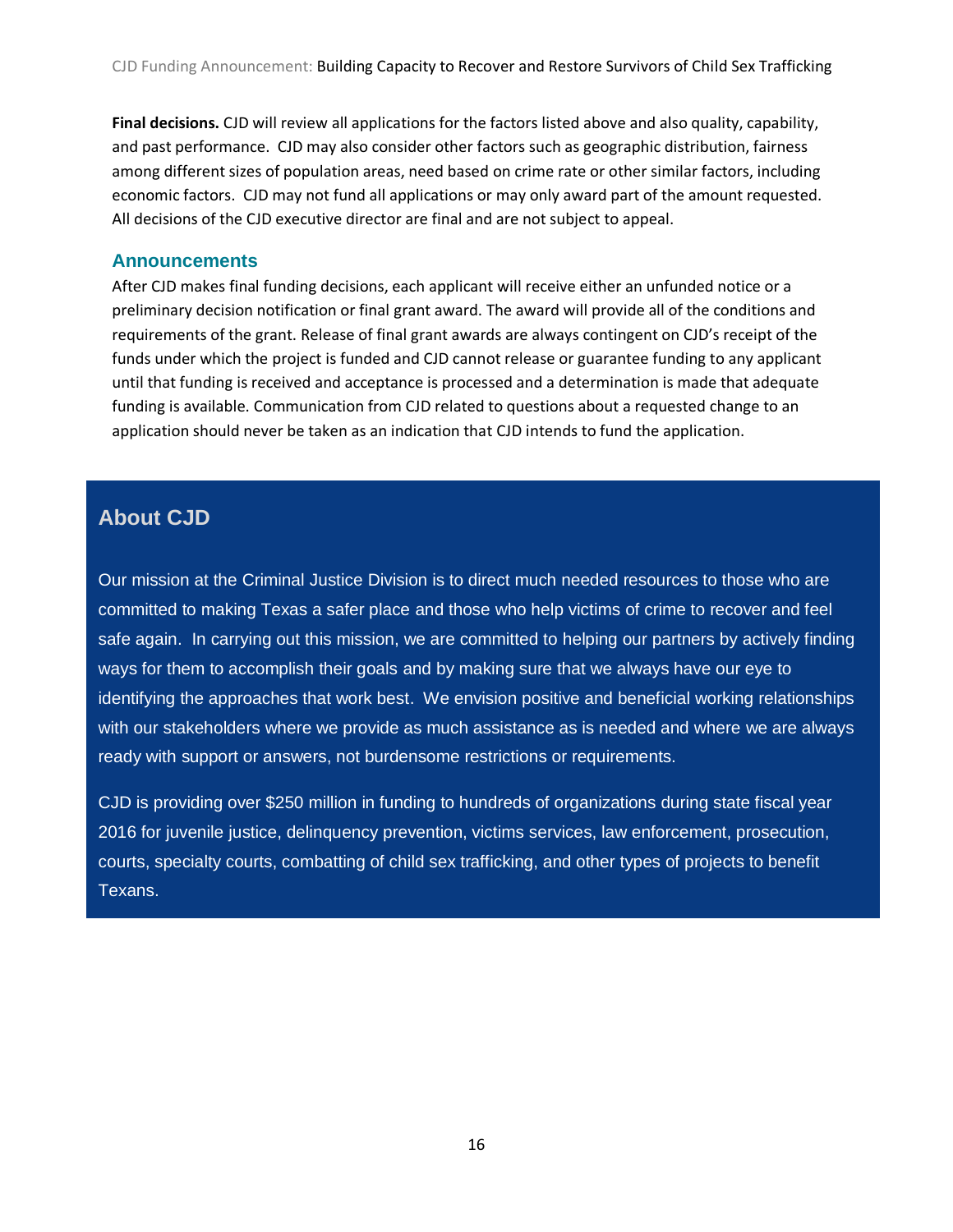**Final decisions.** CJD will review all applications for the factors listed above and also quality, capability, and past performance. CJD may also consider other factors such as geographic distribution, fairness among different sizes of population areas, need based on crime rate or other similar factors, including economic factors. CJD may not fund all applications or may only award part of the amount requested. All decisions of the CJD executive director are final and are not subject to appeal.

#### <span id="page-16-0"></span>**Announcements**

After CJD makes final funding decisions, each applicant will receive either an unfunded notice or a preliminary decision notification or final grant award. The award will provide all of the conditions and requirements of the grant. Release of final grant awards are always contingent on CJD's receipt of the funds under which the project is funded and CJD cannot release or guarantee funding to any applicant until that funding is received and acceptance is processed and a determination is made that adequate funding is available. Communication from CJD related to questions about a requested change to an application should never be taken as an indication that CJD intends to fund the application.

# **About CJD**

Our mission at the Criminal Justice Division is to direct much needed resources to those who are committed to making Texas a safer place and those who help victims of crime to recover and feel safe again. In carrying out this mission, we are committed to helping our partners by actively finding ways for them to accomplish their goals and by making sure that we always have our eye to identifying the approaches that work best. We envision positive and beneficial working relationships with our stakeholders where we provide as much assistance as is needed and where we are always ready with support or answers, not burdensome restrictions or requirements.

CJD is providing over \$250 million in funding to hundreds of organizations during state fiscal year 2016 for juvenile justice, delinquency prevention, victims services, law enforcement, prosecution, courts, specialty courts, combatting of child sex trafficking, and other types of projects to benefit Texans.